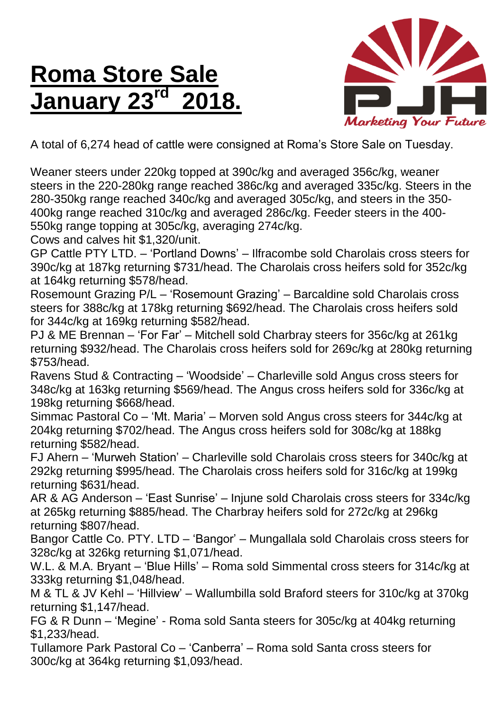## **Roma Store Sale January 23 rd 2018.**



A total of 6,274 head of cattle were consigned at Roma's Store Sale on Tuesday.

Weaner steers under 220kg topped at 390c/kg and averaged 356c/kg, weaner steers in the 220-280kg range reached 386c/kg and averaged 335c/kg. Steers in the 280-350kg range reached 340c/kg and averaged 305c/kg, and steers in the 350- 400kg range reached 310c/kg and averaged 286c/kg. Feeder steers in the 400- 550kg range topping at 305c/kg, averaging 274c/kg.

Cows and calves hit \$1,320/unit.

GP Cattle PTY LTD. – 'Portland Downs' – Ilfracombe sold Charolais cross steers for 390c/kg at 187kg returning \$731/head. The Charolais cross heifers sold for 352c/kg at 164kg returning \$578/head.

Rosemount Grazing P/L – 'Rosemount Grazing' – Barcaldine sold Charolais cross steers for 388c/kg at 178kg returning \$692/head. The Charolais cross heifers sold for 344c/kg at 169kg returning \$582/head.

PJ & ME Brennan – 'For Far' – Mitchell sold Charbray steers for 356c/kg at 261kg returning \$932/head. The Charolais cross heifers sold for 269c/kg at 280kg returning \$753/head.

Ravens Stud & Contracting – 'Woodside' – Charleville sold Angus cross steers for 348c/kg at 163kg returning \$569/head. The Angus cross heifers sold for 336c/kg at 198kg returning \$668/head.

Simmac Pastoral Co – 'Mt. Maria' – Morven sold Angus cross steers for 344c/kg at 204kg returning \$702/head. The Angus cross heifers sold for 308c/kg at 188kg returning \$582/head.

FJ Ahern – 'Murweh Station' – Charleville sold Charolais cross steers for 340c/kg at 292kg returning \$995/head. The Charolais cross heifers sold for 316c/kg at 199kg returning \$631/head.

AR & AG Anderson – 'East Sunrise' – Injune sold Charolais cross steers for 334c/kg at 265kg returning \$885/head. The Charbray heifers sold for 272c/kg at 296kg returning \$807/head.

Bangor Cattle Co. PTY. LTD – 'Bangor' – Mungallala sold Charolais cross steers for 328c/kg at 326kg returning \$1,071/head.

W.L. & M.A. Bryant – 'Blue Hills' – Roma sold Simmental cross steers for 314c/kg at 333kg returning \$1,048/head.

M & TL & JV Kehl – 'Hillview' – Wallumbilla sold Braford steers for 310c/kg at 370kg returning \$1,147/head.

FG & R Dunn – 'Megine' - Roma sold Santa steers for 305c/kg at 404kg returning \$1,233/head.

Tullamore Park Pastoral Co – 'Canberra' – Roma sold Santa cross steers for 300c/kg at 364kg returning \$1,093/head.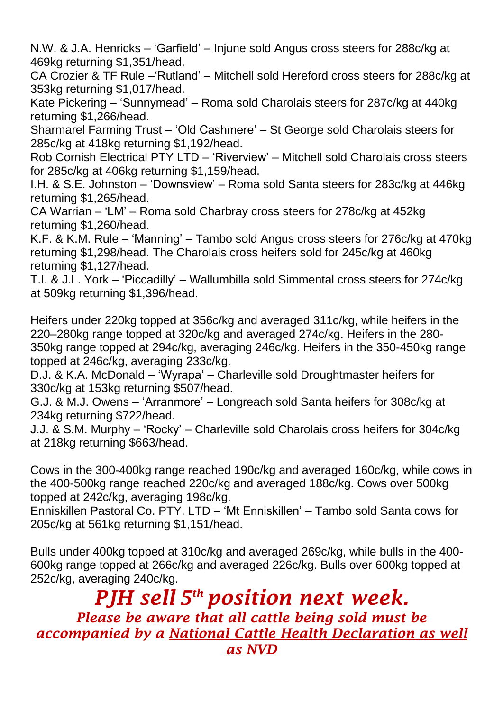N.W. & J.A. Henricks – 'Garfield' – Injune sold Angus cross steers for 288c/kg at 469kg returning \$1,351/head.

CA Crozier & TF Rule –'Rutland' – Mitchell sold Hereford cross steers for 288c/kg at 353kg returning \$1,017/head.

Kate Pickering – 'Sunnymead' – Roma sold Charolais steers for 287c/kg at 440kg returning \$1,266/head.

Sharmarel Farming Trust – 'Old Cashmere' – St George sold Charolais steers for 285c/kg at 418kg returning \$1,192/head.

Rob Cornish Electrical PTY LTD – 'Riverview' – Mitchell sold Charolais cross steers for 285c/kg at 406kg returning \$1,159/head.

I.H. & S.E. Johnston – 'Downsview' – Roma sold Santa steers for 283c/kg at 446kg returning \$1,265/head.

CA Warrian – 'LM' – Roma sold Charbray cross steers for 278c/kg at 452kg returning \$1,260/head.

K.F. & K.M. Rule – 'Manning' – Tambo sold Angus cross steers for 276c/kg at 470kg returning \$1,298/head. The Charolais cross heifers sold for 245c/kg at 460kg returning \$1,127/head.

T.I. & J.L. York – 'Piccadilly' – Wallumbilla sold Simmental cross steers for 274c/kg at 509kg returning \$1,396/head.

Heifers under 220kg topped at 356c/kg and averaged 311c/kg, while heifers in the 220–280kg range topped at 320c/kg and averaged 274c/kg. Heifers in the 280- 350kg range topped at 294c/kg, averaging 246c/kg. Heifers in the 350-450kg range topped at 246c/kg, averaging 233c/kg.

D.J. & K.A. McDonald – 'Wyrapa' – Charleville sold Droughtmaster heifers for 330c/kg at 153kg returning \$507/head.

G.J. & M.J. Owens – 'Arranmore' – Longreach sold Santa heifers for 308c/kg at 234kg returning \$722/head.

J.J. & S.M. Murphy – 'Rocky' – Charleville sold Charolais cross heifers for 304c/kg at 218kg returning \$663/head.

Cows in the 300-400kg range reached 190c/kg and averaged 160c/kg, while cows in the 400-500kg range reached 220c/kg and averaged 188c/kg. Cows over 500kg topped at 242c/kg, averaging 198c/kg.

Enniskillen Pastoral Co. PTY. LTD – 'Mt Enniskillen' – Tambo sold Santa cows for 205c/kg at 561kg returning \$1,151/head.

Bulls under 400kg topped at 310c/kg and averaged 269c/kg, while bulls in the 400- 600kg range topped at 266c/kg and averaged 226c/kg. Bulls over 600kg topped at 252c/kg, averaging 240c/kg.

*PJH sell 5 th position next week. Please be aware that all cattle being sold must be accompanied by a National Cattle Health Declaration as well as NVD*